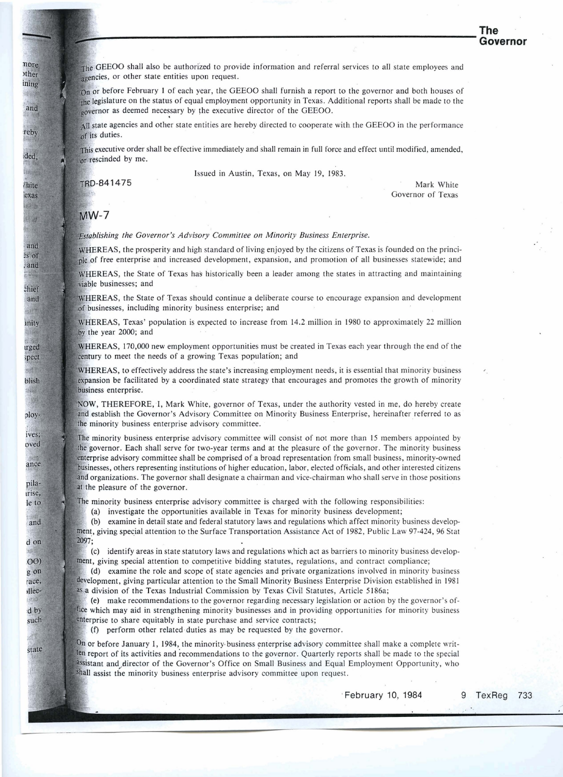The GEEOO shall also be authorized to provide information and referral services to all state employees and agencies, or other state entities upon request.

On or before February 1 of each year, the GEEOO shall furnish a report to the governor and both houses of the legislature on the status of equal employment opportunity in Texas. Additional reports shall be made to the governor as deemed necessary by the executive director of the GEEOO.

All state agencies and other state entities are hereby directed to cooperate with the GEEOO in the performance of its duties.

This executive order shall be effective immediately and shall remain in full force and effect until modified, amended, or rescinded by me.

Issued in Austin, Texas, on May 19, 1983.

TRD-841475

Mark White Governor of Texas

## $MW-7$

Establishing the Governor's Advisory Committee on Minority Business Enterprise.

WHEREAS, the prosperity and high standard of living enjoyed by the citizens of Texas is founded on the principle of free enterprise and increased development, expansion, and promotion of all businesses statewide; and

WHEREAS, the State of Texas has historically been a leader among the states in attracting and maintaining viable businesses: and

WHEREAS, the State of Texas should continue a deliberate course to encourage expansion and development of businesses, including minority business enterprise; and

WHEREAS, Texas' population is expected to increase from 14.2 million in 1980 to approximately 22 million by the year 2000; and

EAS, 170,000 new employment opportunities must be created in Texas each year through the end of the century to meet the needs of a growing Texas population; and

WHEREAS, to effectively address the state's increasing employment needs, it is essential that minority business expansion be facilitated by a coordinated state strategy that encourages and promotes the growth of minority business enterprise.

NOW, THEREFORE, I, Mark White, governor of Texas, under the authority vested in me, do hereby create and establish the Governor's Advisory Committee on Minority Business Enterprise, hereinafter referred to as the minority business enterprise advisory committee.

The minority business enterprise advisory committee will consist of not more than 15 members appointed by the governor. Each shall serve for two-year terms and at the pleasure of the governor. The minority business enterprise advisory committee shall be comprised of a broad representation from small business, minority-owned businesses, others representing institutions of higher education, labor, elected officials, and other interested citizens and organizations. The governor shall designate a chairman and vice-chairman who shall serve in those positions at the pleasure of the governor.

The minority business enterprise advisory committee is charged with the following responsibilities:

(a) investigate the opportunities available in Texas for minority business development;

(b) examine in detail state and federal statutory laws and regulations which affect minority business development, giving special attention to the Surface Transportation Assistance Act of 1982, Public Law 97-424, 96 Stat 2097;

(c) identify areas in state statutory laws and regulations which act as barriers to minority business development, giving special attention to competitive bidding statutes, regulations, and contract compliance;

(d) examine the role and scope of state agencies and private organizations involved in minority business development, giving particular attention to the Small Minority Business Enterprise Division established in 1981 as a division of the Texas Industrial Commission by Texas Civil Statutes, Article 5186a;

(e) make recommendations to the governor regarding necessary legislation or action by the governor's office which may aid in strengthening minority businesses and in providing opportunities for minority business enterprise to share equitably in state purchase and service contracts;

**(f)** perform other related.duties as may be requested by the governor.

On or before January 1, 1984, the minority business enterprise advisory committee shall make a complete written report of its activities and recommendations to the governor. Quarterly reports shall be made to the special assistant and director of the Governor's Office on Small Business and Equal Employment Opportunity, who shall assist the minority business enterprise advisory committee upon request.

**February 10, 1984 9** 

TexReg 733

state